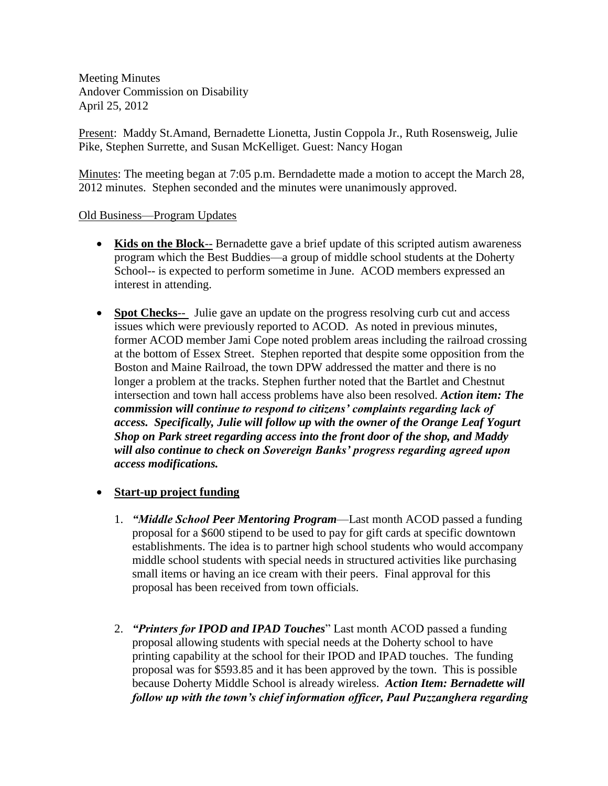Meeting Minutes Andover Commission on Disability April 25, 2012

Present: Maddy St.Amand, Bernadette Lionetta, Justin Coppola Jr., Ruth Rosensweig, Julie Pike, Stephen Surrette, and Susan McKelliget. Guest: Nancy Hogan

Minutes: The meeting began at 7:05 p.m. Berndadette made a motion to accept the March 28, 2012 minutes. Stephen seconded and the minutes were unanimously approved.

## Old Business—Program Updates

- **Kids on the Block**-- Bernadette gave a brief update of this scripted autism awareness program which the Best Buddies—a group of middle school students at the Doherty School-- is expected to perform sometime in June. ACOD members expressed an interest in attending.
- **Spot Checks**-- Julie gave an update on the progress resolving curb cut and access issues which were previously reported to ACOD. As noted in previous minutes, former ACOD member Jami Cope noted problem areas including the railroad crossing at the bottom of Essex Street. Stephen reported that despite some opposition from the Boston and Maine Railroad, the town DPW addressed the matter and there is no longer a problem at the tracks. Stephen further noted that the Bartlet and Chestnut intersection and town hall access problems have also been resolved. *Action item: The commission will continue to respond to citizens' complaints regarding lack of access. Specifically, Julie will follow up with the owner of the Orange Leaf Yogurt Shop on Park street regarding access into the front door of the shop, and Maddy will also continue to check on Sovereign Banks' progress regarding agreed upon access modifications.*

## **Start-up project funding**

- 1. *"Middle School Peer Mentoring Program*—Last month ACOD passed a funding proposal for a \$600 stipend to be used to pay for gift cards at specific downtown establishments. The idea is to partner high school students who would accompany middle school students with special needs in structured activities like purchasing small items or having an ice cream with their peers. Final approval for this proposal has been received from town officials.
- 2. *"Printers for IPOD and IPAD Touches*" Last month ACOD passed a funding proposal allowing students with special needs at the Doherty school to have printing capability at the school for their IPOD and IPAD touches. The funding proposal was for \$593.85 and it has been approved by the town. This is possible because Doherty Middle School is already wireless. *Action Item: Bernadette will follow up with the town's chief information officer, Paul Puzzanghera regarding*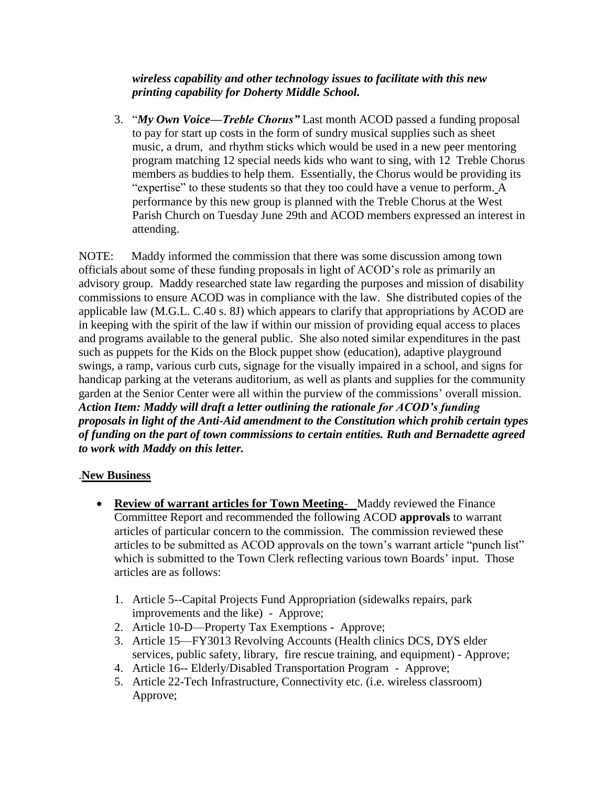*wireless capability and other technology issues to facilitate with this new printing capability for Doherty Middle School.*

3. "*My Own Voice—Treble Chorus"* Last month ACOD passed a funding proposal to pay for start up costs in the form of sundry musical supplies such as sheet music, a drum, and rhythm sticks which would be used in a new peer mentoring program matching 12 special needs kids who want to sing, with 12 Treble Chorus members as buddies to help them. Essentially, the Chorus would be providing its "expertise" to these students so that they too could have a venue to perform. A performance by this new group is planned with the Treble Chorus at the West Parish Church on Tuesday June 29th and ACOD members expressed an interest in attending.

NOTE: Maddy informed the commission that there was some discussion among town officials about some of these funding proposals in light of ACOD's role as primarily an advisory group. Maddy researched state law regarding the purposes and mission of disability commissions to ensure ACOD was in compliance with the law. She distributed copies of the applicable law (M.G.L. C.40 s. 8J) which appears to clarify that appropriations by ACOD are in keeping with the spirit of the law if within our mission of providing equal access to places and programs available to the general public. She also noted similar expenditures in the past such as puppets for the Kids on the Block puppet show (education), adaptive playground swings, a ramp, various curb cuts, signage for the visually impaired in a school, and signs for handicap parking at the veterans auditorium, as well as plants and supplies for the community garden at the Senior Center were all within the purview of the commissions' overall mission. *Action Item: Maddy will draft a letter outlining the rationale for ACOD's funding proposals in light of the Anti-Aid amendment to the Constitution which prohib certain types of funding on the part of town commissions to certain entities. Ruth and Bernadette agreed to work with Maddy on this letter.* 

## .**New Business**

- **Review of warrant articles for Town Meeting** Maddy reviewed the Finance Committee Report and recommended the following ACOD **approvals** to warrant articles of particular concern to the commission. The commission reviewed these articles to be submitted as ACOD approvals on the town's warrant article "punch list" which is submitted to the Town Clerk reflecting various town Boards' input. Those articles are as follows:
	- 1. Article 5--Capital Projects Fund Appropriation (sidewalks repairs, park improvements and the like) - Approve;
	- 2. Article 10-D—Property Tax Exemptions Approve;
	- 3. Article 15—FY3013 Revolving Accounts (Health clinics DCS, DYS elder services, public safety, library, fire rescue training, and equipment) - Approve;
	- 4. Article 16-- Elderly/Disabled Transportation Program Approve;
	- 5. Article 22-Tech Infrastructure, Connectivity etc. (i.e. wireless classroom) Approve;